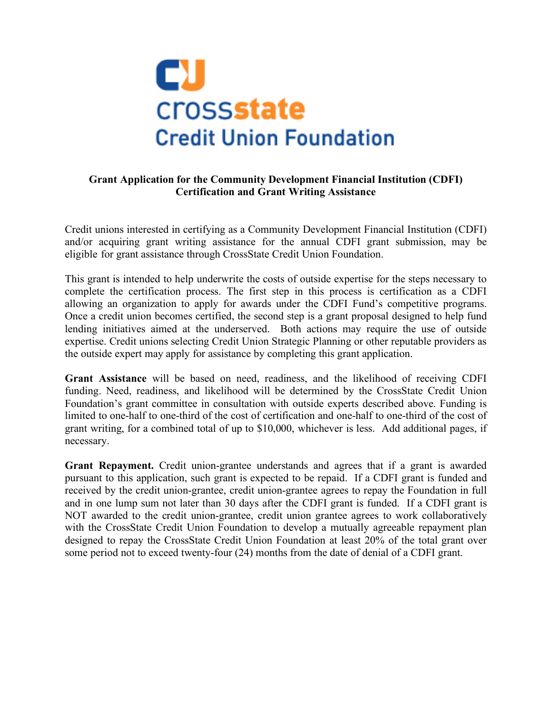

## **Grant Application for the Community Development Financial Institution (CDFI) Certification and Grant Writing Assistance**

Credit unions interested in certifying as a Community Development Financial Institution (CDFI) and/or acquiring grant writing assistance for the annual CDFI grant submission, may be eligible for grant assistance through CrossState Credit Union Foundation.

This grant is intended to help underwrite the costs of outside expertise for the steps necessary to complete the certification process. The first step in this process is certification as a CDFI allowing an organization to apply for awards under the CDFI Fund's competitive programs. Once a credit union becomes certified, the second step is a grant proposal designed to help fund lending initiatives aimed at the underserved. Both actions may require the use of outside expertise. Credit unions selecting Credit Union Strategic Planning or other reputable providers as the outside expert may apply for assistance by completing this grant application.

**Grant Assistance** will be based on need, readiness, and the likelihood of receiving CDFI funding. Need, readiness, and likelihood will be determined by the CrossState Credit Union Foundation's grant committee in consultation with outside experts described above. Funding is limited to one-half to one-third of the cost of certification and one-half to one-third of the cost of grant writing, for a combined total of up to \$10,000, whichever is less. Add additional pages, if necessary.

**Grant Repayment.** Credit union-grantee understands and agrees that if a grant is awarded pursuant to this application, such grant is expected to be repaid. If a CDFI grant is funded and received by the credit union-grantee, credit union-grantee agrees to repay the Foundation in full and in one lump sum not later than 30 days after the CDFI grant is funded. If a CDFI grant is NOT awarded to the credit union-grantee, credit union grantee agrees to work collaboratively with the CrossState Credit Union Foundation to develop a mutually agreeable repayment plan designed to repay the CrossState Credit Union Foundation at least 20% of the total grant over some period not to exceed twenty-four (24) months from the date of denial of a CDFI grant.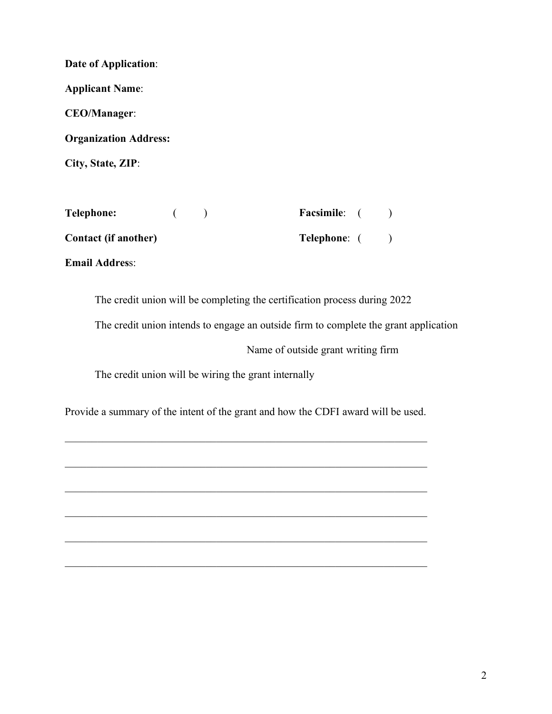| <b>Date of Application:</b>  |  |                     |  |
|------------------------------|--|---------------------|--|
| <b>Applicant Name:</b>       |  |                     |  |
| <b>CEO/Manager:</b>          |  |                     |  |
| <b>Organization Address:</b> |  |                     |  |
| City, State, ZIP:            |  |                     |  |
|                              |  |                     |  |
| <b>Telephone:</b>            |  | <b>Facsimile:</b> ( |  |

**Contact (if another) Telephone**: ( )

**Email Addres**s:

The credit union will be completing the certification process during 2022

The credit union intends to engage an outside firm to complete the grant application

Name of outside grant writing firm

The credit union will be wiring the grant internally

Provide a summary of the intent of the grant and how the CDFI award will be used.

 $\mathcal{L}_\text{G}$  , and the contribution of the contribution of the contribution of the contribution of the contribution of the contribution of the contribution of the contribution of the contribution of the contribution of t

 $\mathcal{L}_\text{G}$  , and the contribution of the contribution of the contribution of the contribution of the contribution of the contribution of the contribution of the contribution of the contribution of the contribution of t

 $\mathcal{L}_\text{G}$  , and the contribution of the contribution of the contribution of the contribution of the contribution of the contribution of the contribution of the contribution of the contribution of the contribution of t

 $\mathcal{L}_\text{G}$  , and the contribution of the contribution of the contribution of the contribution of the contribution of the contribution of the contribution of the contribution of the contribution of the contribution of t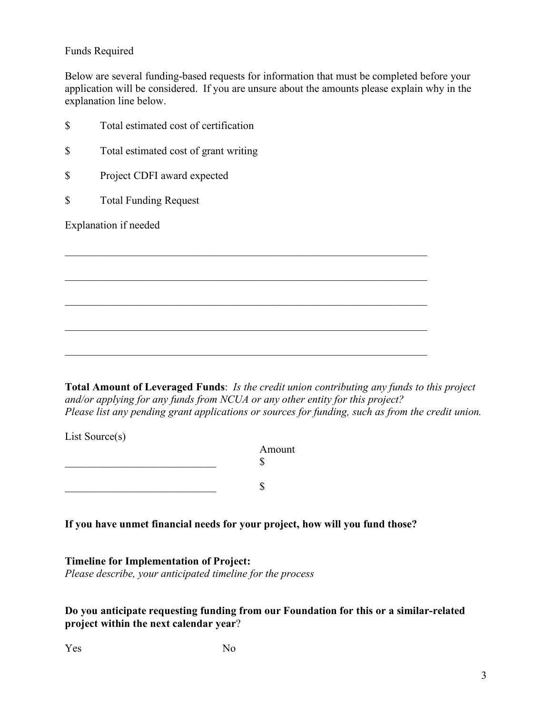## Funds Required

Below are several funding-based requests for information that must be completed before your application will be considered. If you are unsure about the amounts please explain why in the explanation line below.

| \$                    | Total estimated cost of certification |  |
|-----------------------|---------------------------------------|--|
| \$                    | Total estimated cost of grant writing |  |
| \$                    | Project CDFI award expected           |  |
| \$                    | <b>Total Funding Request</b>          |  |
| Explanation if needed |                                       |  |
|                       |                                       |  |
|                       |                                       |  |
|                       |                                       |  |
|                       |                                       |  |
|                       |                                       |  |

**Total Amount of Leveraged Funds**: *Is the credit union contributing any funds to this project and/or applying for any funds from NCUA or any other entity for this project? Please list any pending grant applications or sources for funding, such as from the credit union.* 

List Source(s)

Amount  $\mathbb S$ 

**If you have unmet financial needs for your project, how will you fund those?** 

**Timeline for Implementation of Project:** *Please describe, your anticipated timeline for the process* 

 $\mathbb{S}$ 

**Do you anticipate requesting funding from our Foundation for this or a similar-related project within the next calendar year**?

Yes No